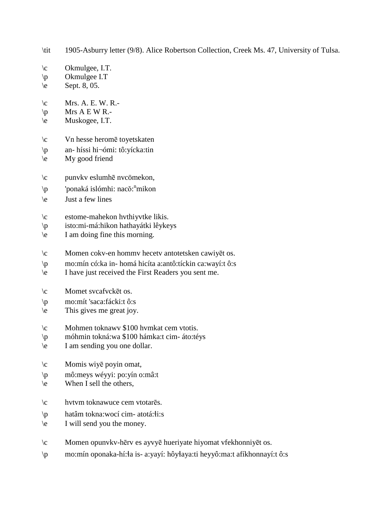$\c$  Okmulgee, I.T. \p Okmulgee I.T  $\text{e}$  Sept. 8, 05.  $\mathcal{C}$  Mrs. A. E. W. R.- $\pmb{\varphi}$  Mrs A E W R.-\e Muskogee, I.T. \c Vn hesse heromē toyetskaten \p an- híssi hi¬ómi: tô:yícka:tin \e My good friend \c punvkv eslumhē nvcömekon, \p 'ponaká islómhi: nacŏ: n mikon \e Just a few lines \c estome-mahekon hvthiyvtke likis. \p isto:mi-má:hikon hathayátki lêykeys \e I am doing fine this morning. \c Momen cokv-en hommv hecetv antotetsken cawiyēt os. \p mo:mín có:ka in- homá hicíta a:antô:tíckin ca:wayí:t ô:s \e I have just received the First Readers you sent me. \c Momet svcafvckēt os. \p mo:mít 'saca:fácki:t ô:s \e This gives me great joy. \c Mohmen toknawv \$100 hvmkat cem vtotis. \p móhmin tokná:wa \$100 hámka:t cim- áto:téys \e I am sending you one dollar. \c Momis wiyē poyin omat, \p mô:meys wéyyi: po:yín o:mâ:t  $\leq$  When I sell the others, \c hvtvm toknawuce cem vtotarēs.  $\pi$  hatâm tokna:wocí cim- atotá: i:s \e I will send you the money. \c Momen opunvkv-hērv es ayvyē hueriyate hiyomat vfekhonniyēt os. \p mo:mín oponaka-hí:!a is- a:yayí: hôy!aya:ti heyyô:ma:t afíkhonnayí:t ô:s

\tit 1905-Asburry letter (9/8). Alice Robertson Collection, Creek Ms. 47, University of Tulsa.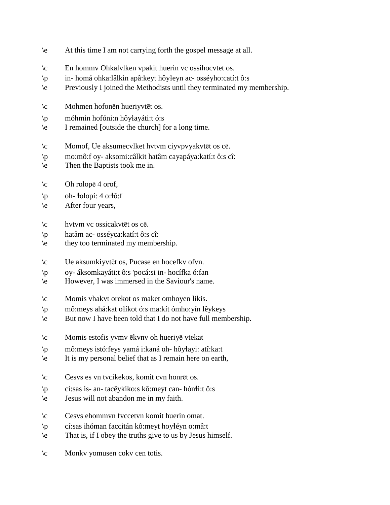- \e At this time I am not carrying forth the gospel message at all.
- \c En hommv Ohkalvlken vpakit huerin vc ossihocvtet os.
- \p in- homá ohka:lâlkin apâ:keyt hôy!eyn ac- osséyho:catí:t ô:s
- \e Previously I joined the Methodists until they terminated my membership.
- \c Mohmen hofonēn hueriyvtēt os.
- \p móhmin hofóni:n hôy!ayáti:t ó:s
- \e I remained [outside the church] for a long time.
- \c Momof, Ue aksumecvlket hvtvm ciyvpvyakvtēt os cē.
- \p mo:mô:f oy- aksomi:câlkit hatâm cayapáya:katí:t ô:s cî:
- \e Then the Baptists took me in.
- $\c$  Oh rolopē 4 orof,
- $\pi$  oh-  $\text{d}$ olopí: 4 o: $\text{d}$ ô: f
- \e After four years,
- \c hvtvm vc ossicakvtēt os cē.
- \p hatâm ac- osséyca:katí:t ô:s cî:
- \e they too terminated my membership.
- \c Ue aksumkiyvtēt os, Pucase en hocefkv ofvn.
- \p oy- áksomkayáti:t ô:s 'pocá:si in- hocífka ó:fan
- \e However, I was immersed in the Saviour's name.
- \c Momis vhakvt orekot os maket omhoyen likis.
- \p mô:meys ahá:kat o!íkot ó:s ma:kít ómho:yín lêykeys
- \e But now I have been told that I do not have full membership.
- \c Momis estofis yvmv ēkvnv oh hueriyē vtekat
- \p mô:meys istó:feys yamá i:kaná oh- hôy!ayi: atî:ka:t
- \e It is my personal belief that as I remain here on earth,
- \c Cesvs es vn tvcikekos, komit cvn honrēt os.
- $\wp$  cí:sas is- an- tacêykiko:s kô:meyt can- hón $\text{d}$ i:t ô:s
- \e Jesus will not abandon me in my faith.
- \c Cesvs ehommvn fvccetvn komit huerin omat.
- \p cí:sas ihóman faccitán kô:meyt hoy!éyn o:mâ:t
- \e That is, if I obey the truths give to us by Jesus himself.
- \c Monkv yomusen cokv cen totis.